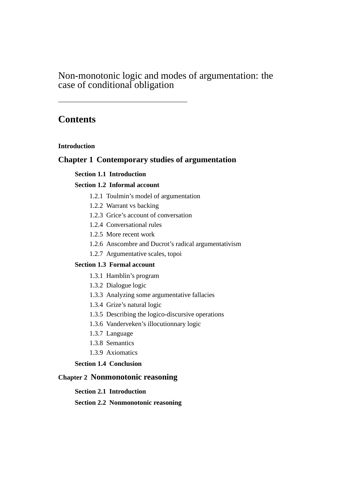# Non-monotonic logic and modes of argumentation: the case of conditional obligation

———————————————————

# **Contents**

## **Introduction**

## **Chapter 1 Contemporary studies of argumentation**

## **Section 1.1 Introduction**

## **Section 1.2 Informal account**

- 1.2.1 Toulmin's model of argumentation
- 1.2.2 Warrant vs backing
- 1.2.3 Grice's account of conversation
- 1.2.4 Conversational rules
- 1.2.5 More recent work
- 1.2.6 Anscombre and Ducrot's radical argumentativism
- 1.2.7 Argumentative scales, topoi

## **Section 1.3 Formal account**

- 1.3.1 Hamblin's program
- 1.3.2 Dialogue logic
- 1.3.3 Analyzing some argumentative fallacies
- 1.3.4 Grize's natural logic
- 1.3.5 Describing the logico-discursive operations
- 1.3.6 Vanderveken's illocutionnary logic
- 1.3.7 Language
- 1.3.8 Semantics
- 1.3.9 Axiomatics

## **Section 1.4 Conclusion**

# **Chapter 2 Nonmonotonic reasoning**

#### **Section 2.1 Introduction**

#### **Section 2.2 Nonmonotonic reasoning**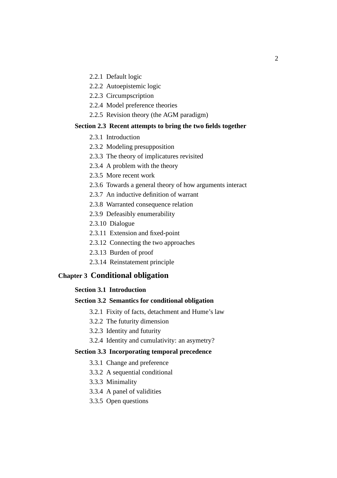- 2.2.1 Default logic
- 2.2.2 Autoepistemic logic
- 2.2.3 Circumpscription
- 2.2.4 Model preference theories
- 2.2.5 Revision theory (the AGM paradigm)

#### **Section 2.3 Recent attempts to bring the two fields together**

- 2.3.1 Introduction
- 2.3.2 Modeling presupposition
- 2.3.3 The theory of implicatures revisited
- 2.3.4 A problem with the theory
- 2.3.5 More recent work
- 2.3.6 Towards a general theory of how arguments interact
- 2.3.7 An inductive definition of warrant
- 2.3.8 Warranted consequence relation
- 2.3.9 Defeasibly enumerability
- 2.3.10 Dialogue
- 2.3.11 Extension and fixed-point
- 2.3.12 Connecting the two approaches
- 2.3.13 Burden of proof
- 2.3.14 Reinstatement principle

#### **Chapter 3 Conditional obligation**

### **Section 3.1 Introduction**

#### **Section 3.2 Semantics for conditional obligation**

- 3.2.1 Fixity of facts, detachment and Hume's law
- 3.2.2 The futurity dimension
- 3.2.3 Identity and futurity
- 3.2.4 Identity and cumulativity: an asymetry?

## **Section 3.3 Incorporating temporal precedence**

- 3.3.1 Change and preference
- 3.3.2 A sequential conditional
- 3.3.3 Minimality
- 3.3.4 A panel of validities
- 3.3.5 Open questions